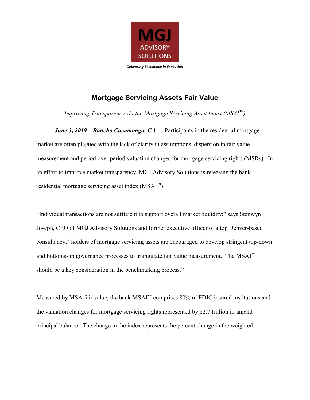

## Mortgage Servicing Assets Fair Value

Improving Transparency via the Mortgage Servicing Asset Index ( $MSAI^{\text{m}}$ )

**June 3, 2019 – Rancho Cucamonga, CA** — Participants in the residential mortgage market are often plagued with the lack of clarity in assumptions, dispersion in fair value measurement and period over period valuation changes for mortgage servicing rights (MSRs). In an effort to improve market transparency, MGJ Advisory Solutions is releasing the bank residential mortgage servicing asset index  $(MSAI<sup>m</sup>)$ .

"Individual transactions are not sufficient to support overall market liquidity;" says Stenwyn Joseph, CEO of MGJ Advisory Solutions and former executive officer of a top Denver-based consultancy, "holders of mortgage servicing assets are encouraged to develop stringent top-down and bottoms-up governance processes to triangulate fair value measurement. The  $MSAI^{M}$ should be a key consideration in the benchmarking process."

Measured by MSA fair value, the bank MSAI™ comprises 80% of FDIC insured institutions and the valuation changes for mortgage servicing rights represented by \$2.7 trillion in unpaid principal balance. The change in the index represents the percent change in the weighted